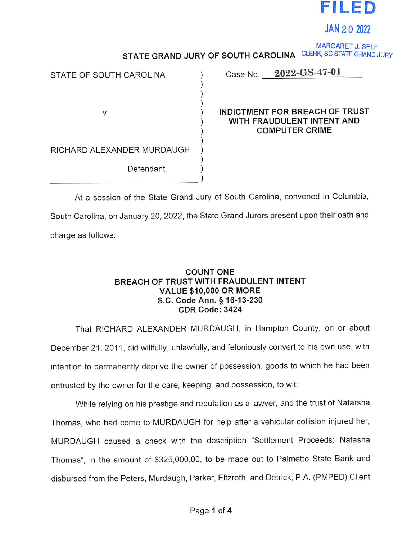

JAN 2 0 2022

MARGARET J. SELF STATE GRAND JURY OF SOUTH CAROLINA CLERK, SC STATE GRAND JURY

| STATE OF SOUTH CAROLINA     | Case No. $2022 - 0.5 - 47 - 01$                                                              |
|-----------------------------|----------------------------------------------------------------------------------------------|
| V.                          | <b>INDICTMENT FOR BREACH OF TRUST</b><br>WITH FRAUDULENT INTENT AND<br><b>COMPUTER CRIME</b> |
| RICHARD ALEXANDER MURDAUGH, |                                                                                              |
| Defendant.                  |                                                                                              |

At <sup>a</sup> session of the State Grand Jury of South Carolina, convened in Columbia, South Carolina, on January 20, 2022, the State Grand Jurors present upon their oath and charge as follows:

## COUNT ONE BREACH OF TRUST WITH FRAUDULENT INTENT VALUE \$10,000 OR MORE S.C. Code Ann. § 16-13-230 CDR Code: 3424

That RICHARD ALEXANDER MURDAUGH, in Hampton County, on or about December 21, 2011, did willfully, unlawfully, and feloniously convert to his own use, with intention to permanently deprive the owner of possession, goods to which he had been entrusted by the owner for the care, keeping, and possession, to wit:

While relying on his prestige and reputation as <sup>a</sup> lawyer, and the trust of Natarsha Thomas, who had come to MURDAUGH for help after <sup>a</sup> vehicular collision injured her, MURDAUGH caused <sup>a</sup> check with the description "Settlement Proceeds: Natasha Thomas", in the amount of \$325,000.00, to be made out to Palmetto State Bank and disbursed from the Peters, Murdaugh, Parker, Eltzroth, and Detrick, P.A. (PMPED) Client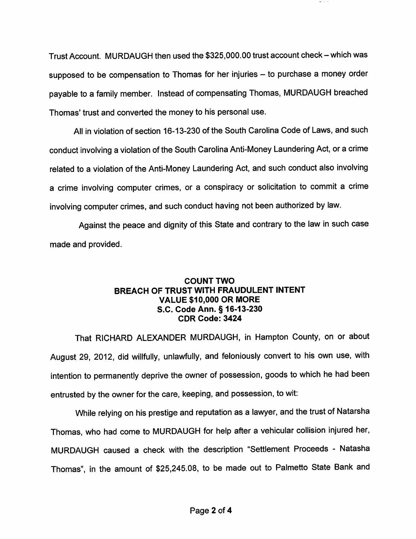Trust Account. MURDAUGH then used the \$325,000.00 trust account check- which was supposed to be compensation to Thomas for her injuries - to purchase a money order payable to <sup>a</sup> family member. Instead of compensating Thomas, MURDAUGH breached Thomas' trust and converted the money to his personal use.

All in violation of section 16-13-230 of the South Carolina Code of Laws, and such conduct involving <sup>a</sup> violation of the South Carolina Anti-Money Laundering Act, or <sup>a</sup> crime related to <sup>a</sup> violation of the Anti-Money Laundering Act, and such conduct also involving <sup>a</sup> crime involving computer crimes, or <sup>a</sup> conspiracy or solicitation to commit <sup>a</sup> crime involving computer crimes, and such conduct having not been authorized by law.

Against the peace and dignity of this State and contrary to the law in such case made and provided.

## COUNT TWO BREACH OF TRUST WITH FRAUDULENT INTENT VALUE \$10,000 OR MORE S.C. Code Ann. § 16-13-230 CDR Code: 3424

That RICHARD ALEXANDER MURDAUGH, in Hampton County, on or about August 29, 2012, did willfully, unlawfully, and feloniously convert to his own use, with intention to permanently deprive the owner of possession, goods to which he had been entrusted by the owner for the care, keeping, and possession, to wit:

While relying on his prestige and reputation as <sup>a</sup> lawyer, and the trust of Natarsha Thomas, who had come to MURDAUGH for help after <sup>a</sup> vehicular collision injured her, MURDAUGH caused <sup>a</sup> check with the description "Settlement Proceeds - Natasha Thomas", in the amount of \$25,245.08, to be made out to Palmetto State Bank and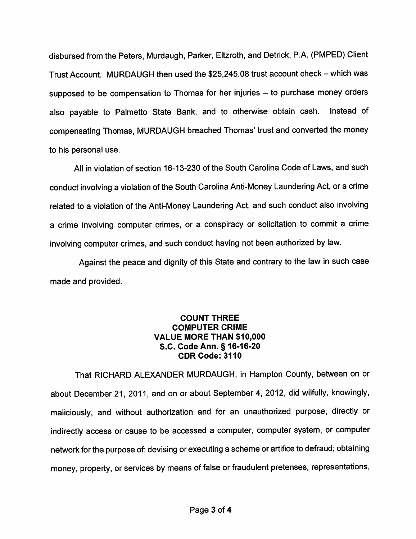disbursed from the Peters, Murdaugh, Parker, Eltzroth, and Detrick, P.A. (PMPED) Client Trust Account. MURDAUGH then used the \$25,245.08 trust account check - which was supposed to be compensation to Thomas for her injuries – to purchase money orders also payable to Palmetto State Bank, and to otherwise obtain cash. Instead of compensating Thomas, MURDAUGH breached Thomas' trust and converted the money to his personal use.

All in violation of section 16-13-230 of the South Carolina Code of Laws, and such conduct involving <sup>a</sup> violation of the South Carolina Anti-Money Laundering Act, or <sup>a</sup> crime related to <sup>a</sup> violation of the Anti-Money Laundering Act, and such conduct also involving <sup>a</sup> crime involving computer crimes, or <sup>a</sup> conspiracy or solicitation to commit <sup>a</sup> crime involving computer crimes, and such conduct having not been authorized by law.

Against the peace and dignity of this State and contrary to the law in such case made and provided.

## COUNT THREE COMPUTER CRIME VALUE MORE THAN \$10,000 S.C. Code Ann. § 16-16-20 CDR Code: 3110

That RICHARD ALEXANDER MURDAUGH, in Hampton County, between on or about December 21, 2011, and on or about September 4, 2012, did wilfully, knowingly, maliciously, and without authorization and for an unauthorized purpose, directly or indirectly access or cause to be accessed <sup>a</sup> computer, computer system, or computer network for the purpose of: devising or executing <sup>a</sup> scheme or artifice to defraud; obtaining money, property, or services by means of false or fraudulent pretenses, representations,